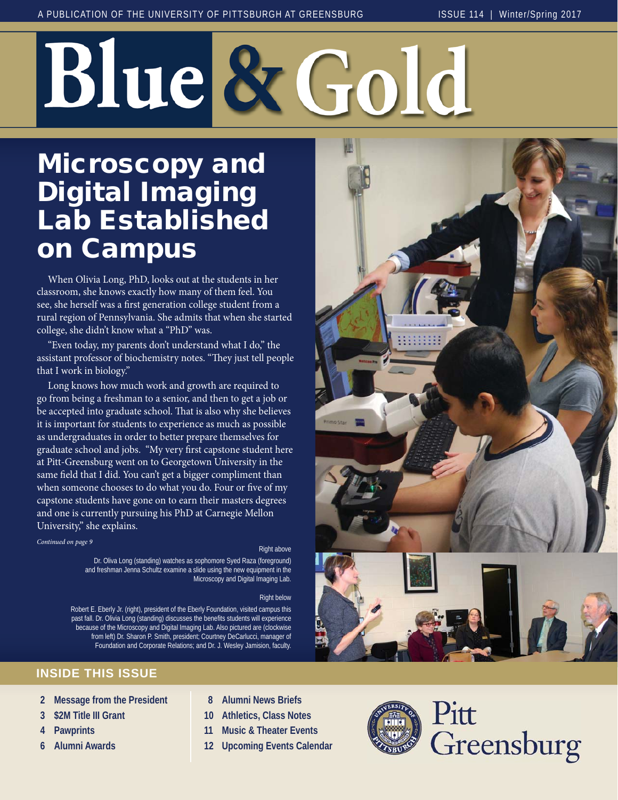# Blue & Gol

# Microscopy and Digital Imaging Lab Established on Campus

 When Olivia Long, PhD, looks out at the students in her classroom, she knows exactly how many of them feel. You see, she herself was a first generation college student from a rural region of Pennsylvania. She admits that when she started college, she didn't know what a "PhD" was.

 "Even today, my parents don't understand what I do," the assistant professor of biochemistry notes. "They just tell people that I work in biology."

 Long knows how much work and growth are required to go from being a freshman to a senior, and then to get a job or be accepted into graduate school. That is also why she believes it is important for students to experience as much as possible as undergraduates in order to better prepare themselves for graduate school and jobs. "My very first capstone student here at Pitt-Greensburg went on to Georgetown University in the same field that I did. You can't get a bigger compliment than when someone chooses to do what you do. Four or five of my capstone students have gone on to earn their masters degrees and one is currently pursuing his PhD at Carnegie Mellon University," she explains.

#### *Continued on page 9*

#### Right above

Dr. Oliva Long (standing) watches as sophomore Syed Raza (foreground) and freshman Jenna Schultz examine a slide using the new equipment in the Microscopy and Digital Imaging Lab.

#### Right below

Robert E. Eberly Jr. (right), president of the Eberly Foundation, visited campus this past fall. Dr. Olivia Long (standing) discusses the benefits students will experience because of the Microscopy and Digital Imaging Lab. Also pictured are (clockwise from left) Dr. Sharon P. Smith, president; Courtney DeCarlucci, manager of Foundation and Corporate Relations; and Dr. J. Wesley Jamision, faculty.





#### **INSIDE THIS ISSUE**

- **2 Message from the President**
- **3 \$2M Title III Grant**
- **4 Pawprints**
- **6 Alumni Awards**
- **8 Alumni News Briefs**
- **10 Athletics, Class Notes**
- **11 Music & Theater Events**
- **12 Upcoming Events Calendar**



Pitt Greensburg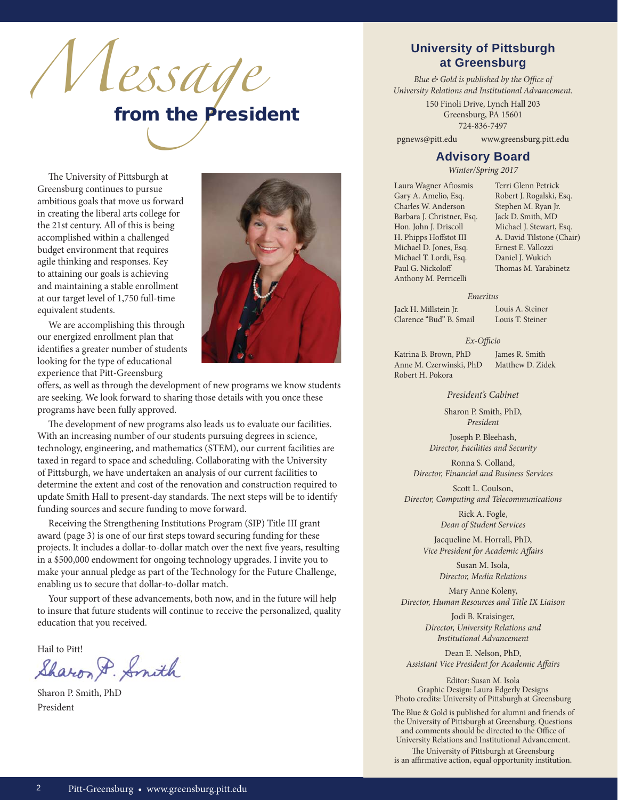

The University of Pittsburgh at Greensburg continues to pursue ambitious goals that move us forward in creating the liberal arts college for the 21st century. All of this is being accomplished within a challenged budget environment that requires agile thinking and responses. Key to attaining our goals is achieving and maintaining a stable enrollment at our target level of 1,750 full-time equivalent students.

 We are accomplishing this through our energized enrollment plan that identifies a greater number of students looking for the type of educational experience that Pitt-Greensburg



offers, as well as through the development of new programs we know students are seeking. We look forward to sharing those details with you once these programs have been fully approved.

The development of new programs also leads us to evaluate our facilities. With an increasing number of our students pursuing degrees in science, technology, engineering, and mathematics (STEM), our current facilities are taxed in regard to space and scheduling. Collaborating with the University of Pittsburgh, we have undertaken an analysis of our current facilities to determine the extent and cost of the renovation and construction required to update Smith Hall to present-day standards. The next steps will be to identify funding sources and secure funding to move forward.

 Receiving the Strengthening Institutions Program (SIP) Title III grant award (page 3) is one of our first steps toward securing funding for these projects. It includes a dollar-to-dollar match over the next five years, resulting in a \$500,000 endowment for ongoing technology upgrades. I invite you to make your annual pledge as part of the Technology for the Future Challenge, enabling us to secure that dollar-to-dollar match.

 Your support of these advancements, both now, and in the future will help to insure that future students will continue to receive the personalized, quality education that you received.

Hail to Pitt! Hail to

Sharon P. Smith, PhD President

#### **University of Pittsburgh at Greensburg**

*Blue & Gold is published by the Office of University Relations and Institutional Advancement.*

> 150 Finoli Drive, Lynch Hall 203 Greensburg, PA 15601 724-836-7497

pgnews@pitt.edu www.greensburg.pitt.edu

#### **Advisory Board**

*Winter/Spring 2017*

Laura Wagner Aftosmis Gary A. Amelio, Esq. Charles W. Anderson Barbara J. Christner, Esq. Hon. John J. Driscoll H. Phipps Hoffstot III Michael D. Jones, Esq. Michael T. Lordi, Esq. Paul G. Nickoloff Anthony M. Perricelli

Terri Glenn Petrick Robert J. Rogalski, Esq. Stephen M. Ryan Jr. Jack D. Smith, MD Michael J. Stewart, Esq. A. David Tilstone (Chair) Ernest E. Vallozzi Daniel J. Wukich Thomas M. Yarabinetz

#### *Emeritus*

Jack H. Millstein Jr. Clarence "Bud" B. Smail Louis A. Steiner Louis T. Steiner

Ex-Officio

Katrina B. Brown, PhD Anne M. Czerwinski, PhD Robert H. Pokora

James R. Smith Matthew D. Zidek

*President's Cabinet*

Sharon P. Smith, PhD, *President*

Joseph P. Bleehash, *Director, Facilities and Security*

Ronna S. Colland, *Director, Financial and Business Services*

Scott L. Coulson, *Director, Computing and Telecommunications*

> Rick A. Fogle, *Dean of Student Services*

Jacqueline M. Horrall, PhD, *Vice President for Academic Affairs* 

> Susan M. Isola, *Director, Media Relations*

Mary Anne Koleny, *Director, Human Resources and Title IX Liaison*

> Jodi B. Kraisinger, *Director, University Relations and Institutional Advancement*

Dean E. Nelson, PhD, Assistant Vice President for Academic Affairs

Editor: Susan M. Isola Graphic Design: Laura Edgerly Designs Photo credits: University of Pittsburgh at Greensburg

The Blue & Gold is published for alumni and friends of the University of Pittsburgh at Greensburg. Questions and comments should be directed to the Office of University Relations and Institutional Advancement.

The University of Pittsburgh at Greensburg is an affirmative action, equal opportunity institution.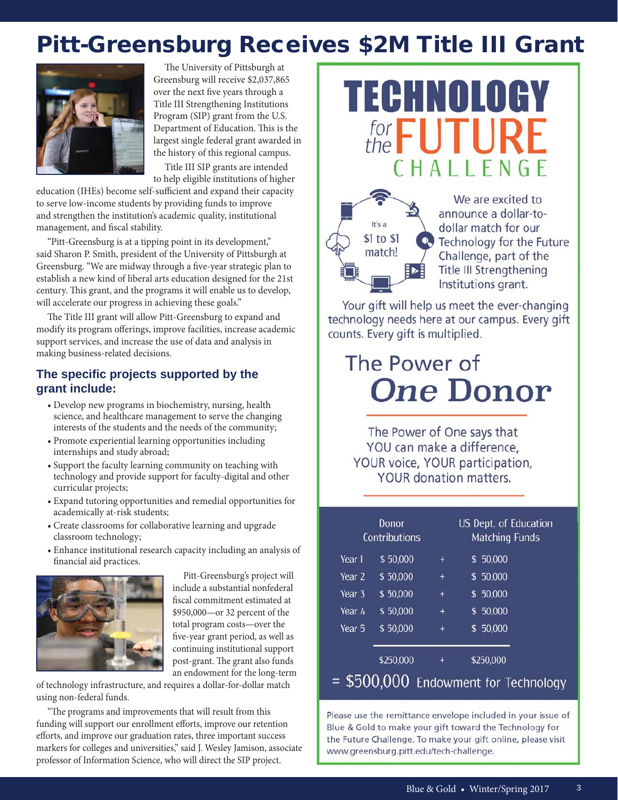# Pitt-Greensburg Receives \$2M Title III Grant



The University of Pittsburgh at Greensburg will receive \$2,037,865 over the next five years through a Title III Strengthening Institutions Program (SIP) grant from the U.S. Department of Education. This is the largest single federal grant awarded in the history of this regional campus.

 Title III SIP grants are intended to help eligible institutions of higher

education (IHEs) become self-sufficient and expand their capacity to serve low-income students by providing funds to improve and strengthen the institution's academic quality, institutional management, and fiscal stability.

 "Pitt-Greensburg is at a tipping point in its development," said Sharon P. Smith, president of the University of Pittsburgh at Greensburg. "We are midway through a five-year strategic plan to establish a new kind of liberal arts education designed for the 21st century. This grant, and the programs it will enable us to develop, will accelerate our progress in achieving these goals."

The Title III grant will allow Pitt-Greensburg to expand and modify its program offerings, improve facilities, increase academic support services, and increase the use of data and analysis in making business-related decisions.

#### **The specifi c projects supported by the grant include:**

- Develop new programs in biochemistry, nursing, health science, and healthcare management to serve the changing interests of the students and the needs of the community;
- Promote experiential learning opportunities including internships and study abroad;
- Support the faculty learning community on teaching with technology and provide support for faculty-digital and other curricular projects;
- Expand tutoring opportunities and remedial opportunities for academically at-risk students;
- Create classrooms for collaborative learning and upgrade classroom technology;
- Enhance institutional research capacity including an analysis of financial aid practices.



 Pitt-Greensburg's project will include a substantial nonfederal fiscal commitment estimated at \$950,000—or 32 percent of the total program costs—over the five-year grant period, as well as continuing institutional support post-grant. The grant also funds an endowment for the long-term

of technology infrastructure, and requires a dollar-for-dollar match using non-federal funds.

"The programs and improvements that will result from this funding will support our enrollment efforts, improve our retention efforts, and improve our graduation rates, three important success markers for colleges and universities," said J. Wesley Jamison, associate professor of Information Science, who will direct the SIP project.





We are excited to announce a dollar-todollar match for our Technology for the Future Challenge, part of the Title III Strengthening Institutions grant.

Your gift will help us meet the ever-changing technology needs here at our campus. Every gift counts. Every gift is multiplied.

# The Power of **One Donor**

The Power of One says that YOU can make a difference, YOUR voice, YOUR participation, YOUR donation matters.

|        | Donor<br>Contributions |                                         |    | US Dept. of Education<br><b>Matching Funds</b>     |  |
|--------|------------------------|-----------------------------------------|----|----------------------------------------------------|--|
| Year 1 | \$50,000               | $\ddot{}$                               | S. | 50,000                                             |  |
| Year 2 | \$50,000               | $\ddot{}$                               |    | \$50,000                                           |  |
| Year 3 | \$50,000               | $\ddot{}$                               |    | \$50,000                                           |  |
| Year 4 | \$50,000               | $\ddot{}$                               |    | \$50,000                                           |  |
| Year 5 | \$50,000               | $\ddot{}$                               |    | \$50,000                                           |  |
|        | \$250,000              | $\ddot{}$                               |    | \$250,000                                          |  |
| Œ۱     |                        | <b>PERMIT AND RESIDENT AND RESIDENT</b> |    | $\mathbf{r}$<br>the company's property of the com- |  |

#### \$500,000 Endowment for Technology

Please use the remittance envelope included in your issue of Blue & Gold to make your gift toward the Technology for the Future Challenge. To make your gift online, please visit www.greensburg.pitt.edu/tech-challenge.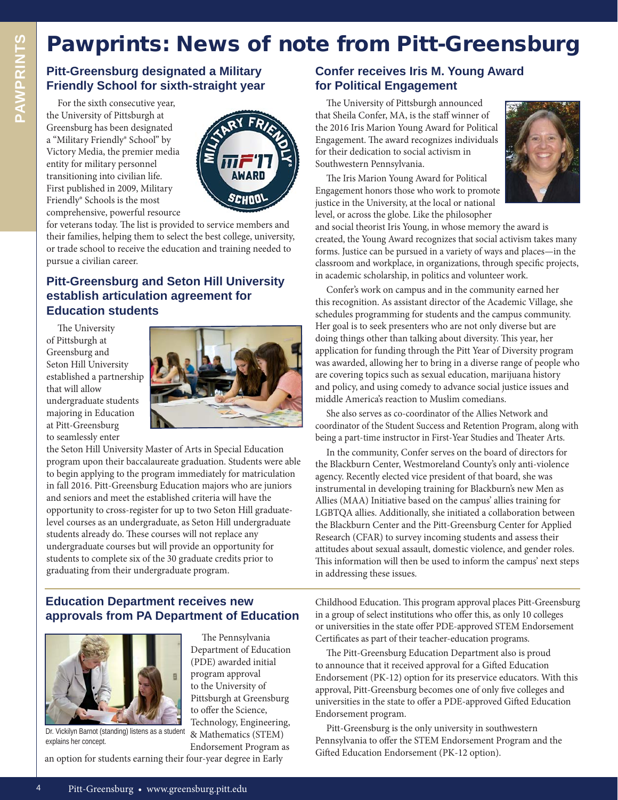# Pawprints: News of note from Pitt-Greensburg

**Pitt-Greensburg designated a Military Friendly School for sixth-straight year**

 For the sixth consecutive year, the University of Pittsburgh at Greensburg has been designated a "Military Friendly® School" by Victory Media, the premier media entity for military personnel transitioning into civilian life. First published in 2009, Military Friendly® Schools is the most comprehensive, powerful resource



for veterans today. The list is provided to service members and their families, helping them to select the best college, university, or trade school to receive the education and training needed to pursue a civilian career.

#### **Pitt-Greensburg and Seton Hill University establish articulation agreement for Education students**

The University of Pittsburgh at Greensburg and Seton Hill University established a partnership that will allow undergraduate students majoring in Education at Pitt-Greensburg to seamlessly enter



The Pennsylvania Department of Education (PDE) awarded initial program approval to the University of Pittsburgh at Greensburg to offer the Science, Technology, Engineering, & Mathematics (STEM) Endorsement Program as

the Seton Hill University Master of Arts in Special Education program upon their baccalaureate graduation. Students were able to begin applying to the program immediately for matriculation in fall 2016. Pitt-Greensburg Education majors who are juniors and seniors and meet the established criteria will have the opportunity to cross-register for up to two Seton Hill graduatelevel courses as an undergraduate, as Seton Hill undergraduate students already do. These courses will not replace any undergraduate courses but will provide an opportunity for students to complete six of the 30 graduate credits prior to graduating from their undergraduate program.

#### **Education Department receives new approvals from PA Department of Education**



Dr. Vickilyn Barnot (standing) listens as a student explains her concept.

an option for students earning their four-year degree in Early

#### **Confer receives Iris M. Young Award for Political Engagement**

The University of Pittsburgh announced that Sheila Confer, MA, is the staff winner of the 2016 Iris Marion Young Award for Political Engagement. The award recognizes individuals for their dedication to social activism in Southwestern Pennsylvania.

The Iris Marion Young Award for Political Engagement honors those who work to promote justice in the University, at the local or national level, or across the globe. Like the philosopher



and social theorist Iris Young, in whose memory the award is created, the Young Award recognizes that social activism takes many forms. Justice can be pursued in a variety of ways and places—in the classroom and workplace, in organizations, through specific projects, in academic scholarship, in politics and volunteer work.

 Confer's work on campus and in the community earned her this recognition. As assistant director of the Academic Village, she schedules programming for students and the campus community. Her goal is to seek presenters who are not only diverse but are doing things other than talking about diversity. This year, her application for funding through the Pitt Year of Diversity program was awarded, allowing her to bring in a diverse range of people who are covering topics such as sexual education, marijuana history and policy, and using comedy to advance social justice issues and middle America's reaction to Muslim comedians.

 She also serves as co-coordinator of the Allies Network and coordinator of the Student Success and Retention Program, along with being a part-time instructor in First-Year Studies and Theater Arts.

 In the community, Confer serves on the board of directors for the Blackburn Center, Westmoreland County's only anti-violence agency. Recently elected vice president of that board, she was instrumental in developing training for Blackburn's new Men as Allies (MAA) Initiative based on the campus' allies training for LGBTQA allies. Additionally, she initiated a collaboration between the Blackburn Center and the Pitt-Greensburg Center for Applied Research (CFAR) to survey incoming students and assess their attitudes about sexual assault, domestic violence, and gender roles. This information will then be used to inform the campus' next steps in addressing these issues.

Childhood Education. This program approval places Pitt-Greensburg in a group of select institutions who offer this, as only 10 colleges or universities in the state offer PDE-approved STEM Endorsement Certificates as part of their teacher-education programs.

The Pitt-Greensburg Education Department also is proud to announce that it received approval for a Gifted Education Endorsement (PK-12) option for its preservice educators. With this approval, Pitt-Greensburg becomes one of only five colleges and universities in the state to offer a PDE-approved Gifted Education Endorsement program.

 Pitt-Greensburg is the only university in southwestern Pennsylvania to offer the STEM Endorsement Program and the Gifted Education Endorsement (PK-12 option).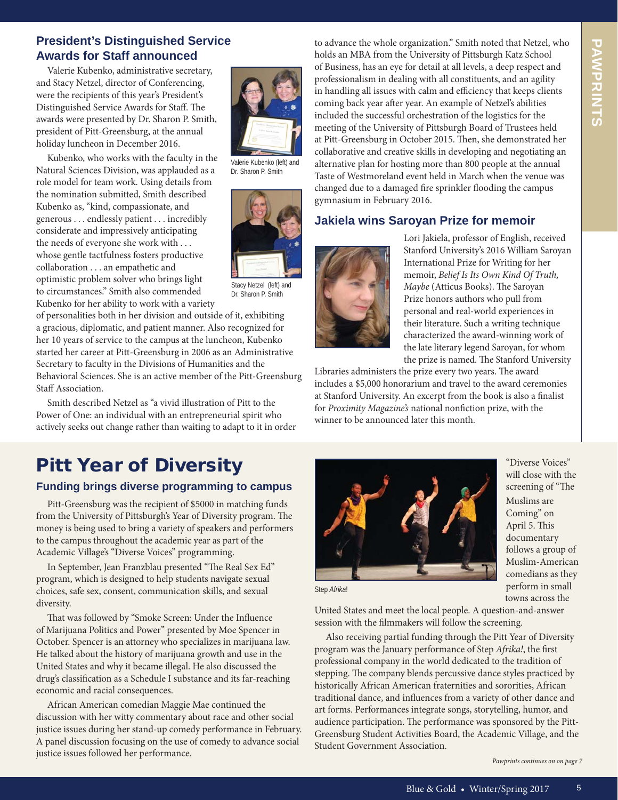#### **President's Distinguished Service Awards for Staff announced**

 Valerie Kubenko, administrative secretary, and Stacy Netzel, director of Conferencing, were the recipients of this year's President's Distinguished Service Awards for Staff. The awards were presented by Dr. Sharon P. Smith, president of Pitt-Greensburg, at the annual holiday luncheon in December 2016.

 Kubenko, who works with the faculty in the Natural Sciences Division, was applauded as a role model for team work. Using details from the nomination submitted, Smith described Kubenko as, "kind, compassionate, and generous . . . endlessly patient . . . incredibly considerate and impressively anticipating the needs of everyone she work with . . . whose gentle tactfulness fosters productive collaboration . . . an empathetic and optimistic problem solver who brings light to circumstances." Smith also commended Kubenko for her ability to work with a variety

of personalities both in her division and outside of it, exhibiting a gracious, diplomatic, and patient manner. Also recognized for her 10 years of service to the campus at the luncheon, Kubenko started her career at Pitt-Greensburg in 2006 as an Administrative Secretary to faculty in the Divisions of Humanities and the Behavioral Sciences. She is an active member of the Pitt-Greensburg Staff Association.

 Smith described Netzel as "a vivid illustration of Pitt to the Power of One: an individual with an entrepreneurial spirit who actively seeks out change rather than waiting to adapt to it in order

# Pitt Year of Diversity

#### **Funding brings diverse programming to campus**

 Pitt-Greensburg was the recipient of \$5000 in matching funds from the University of Pittsburgh's Year of Diversity program. The money is being used to bring a variety of speakers and performers to the campus throughout the academic year as part of the Academic Village's "Diverse Voices" programming.

In September, Jean Franzblau presented "The Real Sex Ed" program, which is designed to help students navigate sexual choices, safe sex, consent, communication skills, and sexual diversity.

That was followed by "Smoke Screen: Under the Influence of Marijuana Politics and Power" presented by Moe Spencer in October. Spencer is an attorney who specializes in marijuana law. He talked about the history of marijuana growth and use in the United States and why it became illegal. He also discussed the drug's classification as a Schedule I substance and its far-reaching economic and racial consequences.

 African American comedian Maggie Mae continued the discussion with her witty commentary about race and other social justice issues during her stand-up comedy performance in February. A panel discussion focusing on the use of comedy to advance social justice issues followed her performance.

to advance the whole organization." Smith noted that Netzel, who holds an MBA from the University of Pittsburgh Katz School of Business, has an eye for detail at all levels, a deep respect and professionalism in dealing with all constituents, and an agility in handling all issues with calm and efficiency that keeps clients coming back year after year. An example of Netzel's abilities included the successful orchestration of the logistics for the meeting of the University of Pittsburgh Board of Trustees held at Pitt-Greensburg in October 2015. Then, she demonstrated her collaborative and creative skills in developing and negotiating an alternative plan for hosting more than 800 people at the annual Taste of Westmoreland event held in March when the venue was changed due to a damaged fire sprinkler flooding the campus gymnasium in February 2016.

#### **Jakiela wins Saroyan Prize for memoir**



Valerie Kubenko (left) and Dr. Sharon P. Smith

Stacy Netzel (left) and Dr. Sharon P. Smith

Lori Jakiela, professor of English, received Stanford University's 2016 William Saroyan International Prize for Writing for her memoir, *Belief Is Its Own Kind Of Truth, Maybe* (Atticus Books). The Saroyan Prize honors authors who pull from personal and real-world experiences in their literature. Such a writing technique characterized the award-winning work of the late literary legend Saroyan, for whom the prize is named. The Stanford University

Libraries administers the prize every two years. The award includes a \$5,000 honorarium and travel to the award ceremonies at Stanford University. An excerpt from the book is also a finalist for Proximity Magazine's national nonfiction prize, with the winner to be announced later this month.



 "Diverse Voices" will close with the screening of "The Muslims are Coming" on April 5. This documentary follows a group of Muslim-American comedians as they perform in small towns across the

Step *Afrika*!

United States and meet the local people. A question-and-answer session with the filmmakers will follow the screening.

 Also receiving partial funding through the Pitt Year of Diversity program was the January performance of Step *Afrika!*, the first professional company in the world dedicated to the tradition of stepping. The company blends percussive dance styles practiced by historically African American fraternities and sororities, African traditional dance, and influences from a variety of other dance and art forms. Performances integrate songs, storytelling, humor, and audience participation. The performance was sponsored by the Pitt-Greensburg Student Activities Board, the Academic Village, and the Student Government Association.

*Pawprints continues on on page 7*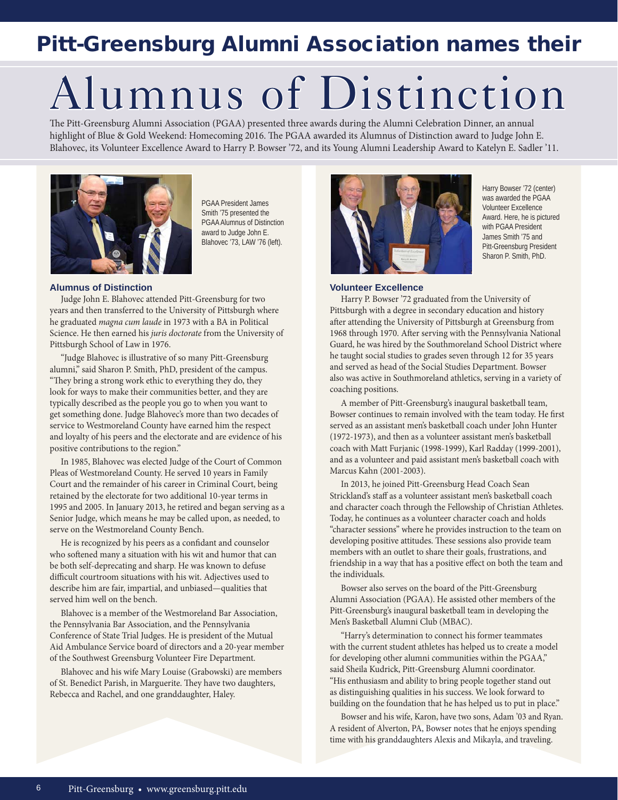# Pitt-Greensburg Alumni Association names their

# Alumnus of Distinction

The Pitt-Greensburg Alumni Association (PGAA) presented three awards during the Alumni Celebration Dinner, an annual highlight of Blue & Gold Weekend: Homecoming 2016. The PGAA awarded its Alumnus of Distinction award to Judge John E. Blahovec, its Volunteer Excellence Award to Harry P. Bowser '72, and its Young Alumni Leadership Award to Katelyn E. Sadler '11.



PGAA President James Smith '75 presented the PGAA Alumnus of Distinction award to Judge John E. Blahovec '73, LAW '76 (left).

#### **Alumnus of Distinction**

Judge John E. Blahovec attended Pitt-Greensburg for two years and then transferred to the University of Pittsburgh where he graduated *magna cum laude* in 1973 with a BA in Political Science. He then earned his *juris doctorate* from the University of Pittsburgh School of Law in 1976.

 "Judge Blahovec is illustrative of so many Pitt-Greensburg alumni," said Sharon P. Smith, PhD, president of the campus. "They bring a strong work ethic to everything they do, they look for ways to make their communities better, and they are typically described as the people you go to when you want to get something done. Judge Blahovec's more than two decades of service to Westmoreland County have earned him the respect and loyalty of his peers and the electorate and are evidence of his positive contributions to the region."

 In 1985, Blahovec was elected Judge of the Court of Common Pleas of Westmoreland County. He served 10 years in Family Court and the remainder of his career in Criminal Court, being retained by the electorate for two additional 10-year terms in 1995 and 2005. In January 2013, he retired and began serving as a Senior Judge, which means he may be called upon, as needed, to serve on the Westmoreland County Bench.

He is recognized by his peers as a confidant and counselor who softened many a situation with his wit and humor that can be both self-deprecating and sharp. He was known to defuse difficult courtroom situations with his wit. Adjectives used to describe him are fair, impartial, and unbiased—qualities that served him well on the bench.

 Blahovec is a member of the Westmoreland Bar Association, the Pennsylvania Bar Association, and the Pennsylvania Conference of State Trial Judges. He is president of the Mutual Aid Ambulance Service board of directors and a 20-year member of the Southwest Greensburg Volunteer Fire Department.

 Blahovec and his wife Mary Louise (Grabowski) are members of St. Benedict Parish, in Marguerite. They have two daughters, Rebecca and Rachel, and one granddaughter, Haley.



Harry Bowser '72 (center) was awarded the PGAA Volunteer Excellence Award. Here, he is pictured with PGAA President James Smith '75 and Pitt-Greensburg President Sharon P. Smith, PhD.

#### **Volunteer Excellence**

 Harry P. Bowser '72 graduated from the University of Pittsburgh with a degree in secondary education and history after attending the University of Pittsburgh at Greensburg from 1968 through 1970. After serving with the Pennsylvania National Guard, he was hired by the Southmoreland School District where he taught social studies to grades seven through 12 for 35 years and served as head of the Social Studies Department. Bowser also was active in Southmoreland athletics, serving in a variety of coaching positions.

 A member of Pitt-Greensburg's inaugural basketball team, Bowser continues to remain involved with the team today. He first served as an assistant men's basketball coach under John Hunter (1972-1973), and then as a volunteer assistant men's basketball coach with Matt Furjanic (1998-1999), Karl Radday (1999-2001), and as a volunteer and paid assistant men's basketball coach with Marcus Kahn (2001-2003).

 In 2013, he joined Pitt-Greensburg Head Coach Sean Strickland's staff as a volunteer assistant men's basketball coach and character coach through the Fellowship of Christian Athletes. Today, he continues as a volunteer character coach and holds "character sessions" where he provides instruction to the team on developing positive attitudes. These sessions also provide team members with an outlet to share their goals, frustrations, and friendship in a way that has a positive effect on both the team and the individuals.

 Bowser also serves on the board of the Pitt-Greensburg Alumni Association (PGAA). He assisted other members of the Pitt-Greensburg's inaugural basketball team in developing the Men's Basketball Alumni Club (MBAC).

 "Harry's determination to connect his former teammates with the current student athletes has helped us to create a model for developing other alumni communities within the PGAA," said Sheila Kudrick, Pitt-Greensburg Alumni coordinator. "His enthusiasm and ability to bring people together stand out as distinguishing qualities in his success. We look forward to building on the foundation that he has helped us to put in place."

 Bowser and his wife, Karon, have two sons, Adam '03 and Ryan. A resident of Alverton, PA, Bowser notes that he enjoys spending time with his granddaughters Alexis and Mikayla, and traveling.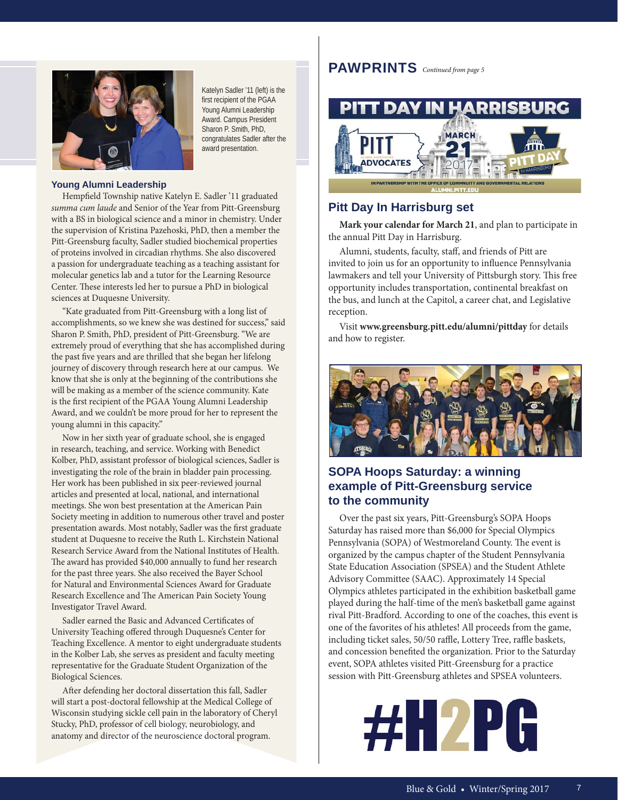

Katelyn Sadler '11 (left) is the first recipient of the PGAA Young Alumni Leadership Award. Campus President Sharon P. Smith, PhD, congratulates Sadler after the award presentation.

#### **Young Alumni Leadership**

Hempfield Township native Katelyn E. Sadler '11 graduated *summa cum laude* and Senior of the Year from Pitt-Greensburg with a BS in biological science and a minor in chemistry. Under the supervision of Kristina Pazehoski, PhD, then a member the Pitt-Greensburg faculty, Sadler studied biochemical properties of proteins involved in circadian rhythms. She also discovered a passion for undergraduate teaching as a teaching assistant for molecular genetics lab and a tutor for the Learning Resource Center. These interests led her to pursue a PhD in biological sciences at Duquesne University.

 "Kate graduated from Pitt-Greensburg with a long list of accomplishments, so we knew she was destined for success," said Sharon P. Smith, PhD, president of Pitt-Greensburg. "We are extremely proud of everything that she has accomplished during the past five years and are thrilled that she began her lifelong journey of discovery through research here at our campus. We know that she is only at the beginning of the contributions she will be making as a member of the science community. Kate is the first recipient of the PGAA Young Alumni Leadership Award, and we couldn't be more proud for her to represent the young alumni in this capacity."

 Now in her sixth year of graduate school, she is engaged in research, teaching, and service. Working with Benedict Kolber, PhD, assistant professor of biological sciences, Sadler is investigating the role of the brain in bladder pain processing. Her work has been published in six peer-reviewed journal articles and presented at local, national, and international meetings. She won best presentation at the American Pain Society meeting in addition to numerous other travel and poster presentation awards. Most notably, Sadler was the first graduate student at Duquesne to receive the Ruth L. Kirchstein National Research Service Award from the National Institutes of Health. The award has provided \$40,000 annually to fund her research for the past three years. She also received the Bayer School for Natural and Environmental Sciences Award for Graduate Research Excellence and The American Pain Society Young Investigator Travel Award.

Sadler earned the Basic and Advanced Certificates of University Teaching offered through Duquesne's Center for Teaching Excellence. A mentor to eight undergraduate students in the Kolber Lab, she serves as president and faculty meeting representative for the Graduate Student Organization of the Biological Sciences.

After defending her doctoral dissertation this fall, Sadler will start a post-doctoral fellowship at the Medical College of Wisconsin studying sickle cell pain in the laboratory of Cheryl Stucky, PhD, professor of cell biology, neurobiology, and anatomy and director of the neuroscience doctoral program.

#### **PAWPRINTS** *Continued from page 5*



#### **Pitt Day In Harrisburg set**

**Mark your calendar for March 21**, and plan to participate in the annual Pitt Day in Harrisburg.

Alumni, students, faculty, staff, and friends of Pitt are invited to join us for an opportunity to influence Pennsylvania lawmakers and tell your University of Pittsburgh story. This free opportunity includes transportation, continental breakfast on the bus, and lunch at the Capitol, a career chat, and Legislative reception.

 Visit **www.greensburg.pitt.edu/alumni/pittday** for details and how to register.



#### **SOPA Hoops Saturday: a winning example of Pitt-Greensburg service to the community**

 Over the past six years, Pitt-Greensburg's SOPA Hoops Saturday has raised more than \$6,000 for Special Olympics Pennsylvania (SOPA) of Westmoreland County. The event is organized by the campus chapter of the Student Pennsylvania State Education Association (SPSEA) and the Student Athlete Advisory Committee (SAAC). Approximately 14 Special Olympics athletes participated in the exhibition basketball game played during the half-time of the men's basketball game against rival Pitt-Bradford. According to one of the coaches, this event is one of the favorites of his athletes! All proceeds from the game, including ticket sales, 50/50 raffle, Lottery Tree, raffle baskets, and concession benefited the organization. Prior to the Saturday event, SOPA athletes visited Pitt-Greensburg for a practice session with Pitt-Greensburg athletes and SPSEA volunteers.

# **#H2PG**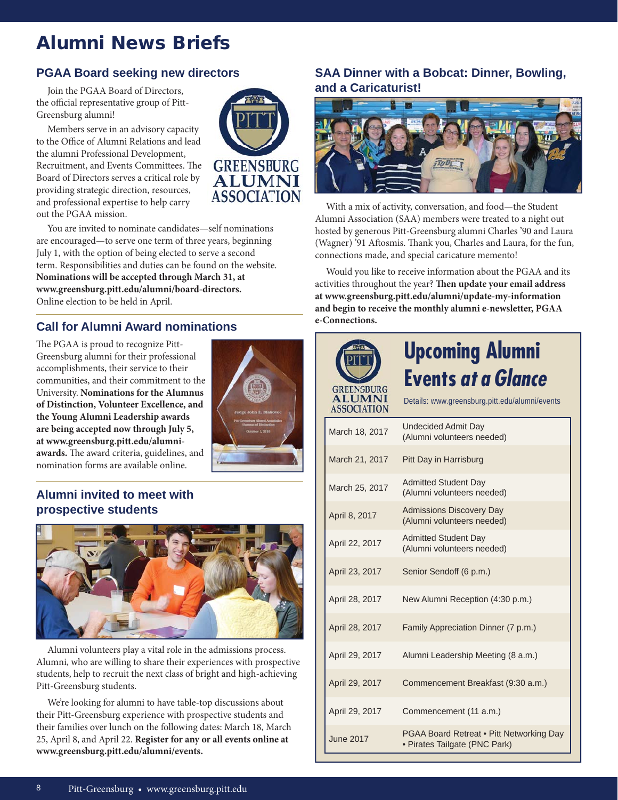# Alumni News Briefs

#### **PGAA Board seeking new directors**

 Join the PGAA Board of Directors, the official representative group of Pitt-Greensburg alumni!

 Members serve in an advisory capacity to the Office of Alumni Relations and lead the alumni Professional Development, Recruitment, and Events Committees. The Board of Directors serves a critical role by providing strategic direction, resources, and professional expertise to help carry out the PGAA mission.



 You are invited to nominate candidates—self nominations are encouraged—to serve one term of three years, beginning July 1, with the option of being elected to serve a second term. Responsibilities and duties can be found on the website. **Nominations will be accepted through March 31, at www.greensburg.pitt.edu/alumni/board-directors.** Online election to be held in April.

#### **Call for Alumni Award nominations**

The PGAA is proud to recognize Pitt-Greensburg alumni for their professional accomplishments, their service to their communities, and their commitment to the University. **Nominations for the Alumnus of Distinction, Volunteer Excellence, and the Young Alumni Leadership awards are being accepted now through July 5, at www.greensburg.pitt.edu/alumni**awards. The award criteria, guidelines, and nomination forms are available online.



#### **Alumni invited to meet with prospective students**



 Alumni volunteers play a vital role in the admissions process. Alumni, who are willing to share their experiences with prospective students, help to recruit the next class of bright and high-achieving Pitt-Greensburg students.

 We're looking for alumni to have table-top discussions about their Pitt-Greensburg experience with prospective students and their families over lunch on the following dates: March 18, March 25, April 8, and April 22. **Register for any or all events online at www.greensburg.pitt.edu/alumni/events.**

#### **SAA Dinner with a Bobcat: Dinner, Bowling, and a Caricaturist!**



 With a mix of activity, conversation, and food—the Student Alumni Association (SAA) members were treated to a night out hosted by generous Pitt-Greensburg alumni Charles '90 and Laura (Wagner) '91 Aftosmis. Thank you, Charles and Laura, for the fun, connections made, and special caricature memento!

 Would you like to receive information about the PGAA and its activities throughout the year? Then update your email address **at www.greensburg.pitt.edu/alumni/update-my-information and begin to receive the monthly alumni e-newsletter, PGAA e-Connections.**

| <b>GREENSBURG</b><br><b>ALUMNI</b><br><b>ASSOCIATION</b> | <b>Upcoming Alumni</b><br><b>Events at a Glance</b><br>Details: www.greensburg.pitt.edu/alumni/events |
|----------------------------------------------------------|-------------------------------------------------------------------------------------------------------|
| March 18, 2017                                           | <b>Undecided Admit Day</b><br>(Alumni volunteers needed)                                              |
| March 21, 2017                                           | Pitt Day in Harrisburg                                                                                |
| March 25, 2017                                           | <b>Admitted Student Day</b><br>(Alumni volunteers needed)                                             |
| April 8, 2017                                            | <b>Admissions Discovery Day</b><br>(Alumni volunteers needed)                                         |
| April 22, 2017                                           | <b>Admitted Student Day</b><br>(Alumni volunteers needed)                                             |
| April 23, 2017                                           | Senior Sendoff (6 p.m.)                                                                               |
| April 28, 2017                                           | New Alumni Reception (4:30 p.m.)                                                                      |
| April 28, 2017                                           | Family Appreciation Dinner (7 p.m.)                                                                   |
| April 29, 2017                                           | Alumni Leadership Meeting (8 a.m.)                                                                    |
| April 29, 2017                                           | Commencement Breakfast (9:30 a.m.)                                                                    |
| April 29, 2017                                           | Commencement (11 a.m.)                                                                                |
| <b>June 2017</b>                                         | PGAA Board Retreat . Pitt Networking Day<br>· Pirates Tailgate (PNC Park)                             |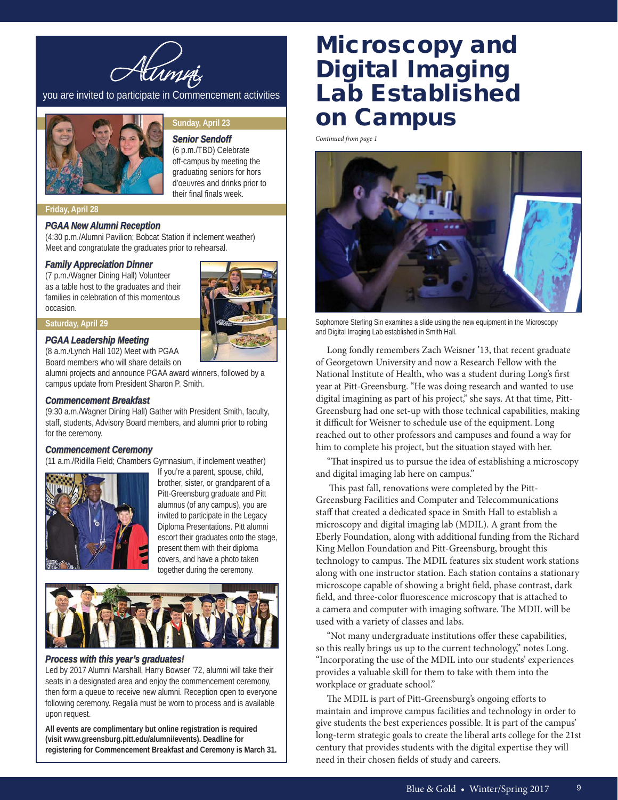

you are invited to participate in Commencement activities



#### **Sunday, April 23**

**Senior Sendoff** 

(6 p.m./TBD) Celebrate off-campus by meeting the graduating seniors for hors d'oeuvres and drinks prior to their final finals week.

#### **Friday, April 28**

#### *PGAA New Alumni Reception*

(4:30 p.m./Alumni Pavilion; Bobcat Station if inclement weather) Meet and congratulate the graduates prior to rehearsal.

#### **Family Appreciation Dinner**

(7 p.m./Wagner Dining Hall) Volunteer as a table host to the graduates and their families in celebration of this momentous occasion.

#### **Saturday, April 29**

#### **PGAA Leadership Meeting**

(8 a.m./Lynch Hall 102) Meet with PGAA Board members who will share details on

alumni projects and announce PGAA award winners, followed by a campus update from President Sharon P. Smith.

#### **Commencement Breakfast**

(9:30 a.m./Wagner Dining Hall) Gather with President Smith, faculty, staff, students, Advisory Board members, and alumni prior to robing for the ceremony.

#### **Commencement Ceremony**

(11 a.m./Ridilla Field; Chambers Gymnasium, if inclement weather)



If you're a parent, spouse, child, brother, sister, or grandparent of a Pitt-Greensburg graduate and Pitt alumnus (of any campus), you are invited to participate in the Legacy Diploma Presentations. Pitt alumni escort their graduates onto the stage, present them with their diploma covers, and have a photo taken together during the ceremony.



#### **Process with this year's graduates!**

Led by 2017 Alumni Marshall, Harry Bowser '72, alumni will take their seats in a designated area and enjoy the commencement ceremony, then form a queue to receive new alumni. Reception open to everyone following ceremony. Regalia must be worn to process and is available upon request.

**All events are complimentary but online registration is required (visit www.greensburg.pitt.edu/alumni/events). Deadline for registering for Commencement Breakfast and Ceremony is March 31.**

# Microscopy and Digital Imaging Lab Established on Campus

*Continued from page 1*



Sophomore Sterling Sin examines a slide using the new equipment in the Microscopy and Digital Imaging Lab established in Smith Hall.

 Long fondly remembers Zach Weisner '13, that recent graduate of Georgetown University and now a Research Fellow with the National Institute of Health, who was a student during Long's first year at Pitt-Greensburg. "He was doing research and wanted to use digital imagining as part of his project," she says. At that time, Pitt-Greensburg had one set-up with those technical capabilities, making it difficult for Weisner to schedule use of the equipment. Long reached out to other professors and campuses and found a way for him to complete his project, but the situation stayed with her.

"That inspired us to pursue the idea of establishing a microscopy and digital imaging lab here on campus."

This past fall, renovations were completed by the Pitt-Greensburg Facilities and Computer and Telecommunications staff that created a dedicated space in Smith Hall to establish a microscopy and digital imaging lab (MDIL). A grant from the Eberly Foundation, along with additional funding from the Richard King Mellon Foundation and Pitt-Greensburg, brought this technology to campus. The MDIL features six student work stations along with one instructor station. Each station contains a stationary microscope capable of showing a bright field, phase contrast, dark field, and three-color fluorescence microscopy that is attached to a camera and computer with imaging software. The MDIL will be used with a variety of classes and labs.

"Not many undergraduate institutions offer these capabilities, so this really brings us up to the current technology," notes Long. "Incorporating the use of the MDIL into our students' experiences provides a valuable skill for them to take with them into the workplace or graduate school."

The MDIL is part of Pitt-Greensburg's ongoing efforts to maintain and improve campus facilities and technology in order to give students the best experiences possible. It is part of the campus' long-term strategic goals to create the liberal arts college for the 21st century that provides students with the digital expertise they will need in their chosen fields of study and careers.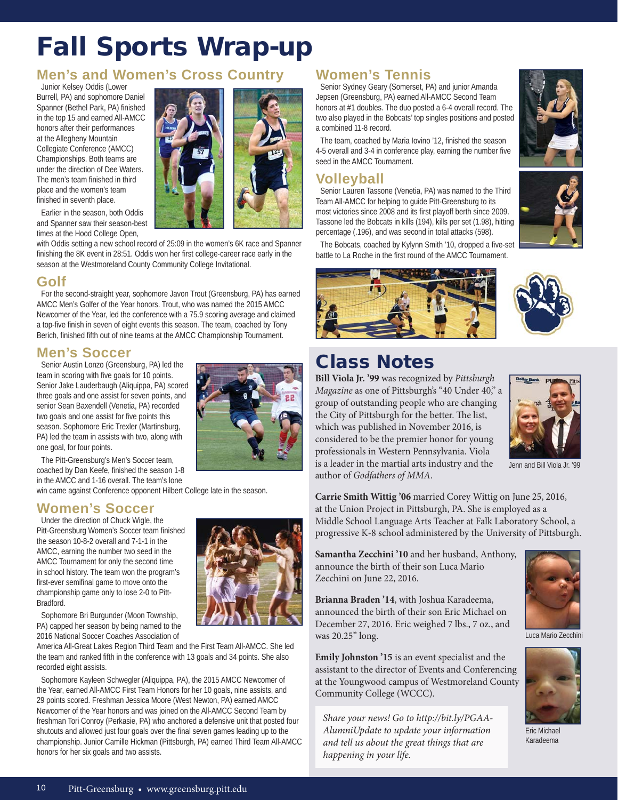# Fall Sports Wrap-up

#### **Men's and Women's Cross Country**

Junior Kelsey Oddis (Lower Burrell, PA) and sophomore Daniel Spanner (Bethel Park, PA) finished in the top 15 and earned All-AMCC honors after their performances at the Allegheny Mountain Collegiate Conference (AMCC) Championships. Both teams are under the direction of Dee Waters. The men's team finished in third place and the women's team finished in seventh place.



Earlier in the season, both Oddis and Spanner saw their season-best times at the Hood College Open,

with Oddis setting a new school record of 25:09 in the women's 6K race and Spanner finishing the 8K event in 28:51. Oddis won her first college-career race early in the season at the Westmoreland County Community College Invitational.

#### **Golf**

For the second-straight year, sophomore Javon Trout (Greensburg, PA) has earned AMCC Men's Golfer of the Year honors. Trout, who was named the 2015 AMCC Newcomer of the Year, led the conference with a 75.9 scoring average and claimed a top-five finish in seven of eight events this season. The team, coached by Tony Berich, finished fifth out of nine teams at the AMCC Championship Tournament.

#### **Men's Soccer**

Senior Austin Lonzo (Greensburg, PA) led the team in scoring with five goals for 10 points. Senior Jake Lauderbaugh (Aliquippa, PA) scored three goals and one assist for seven points, and senior Sean Baxendell (Venetia, PA) recorded two goals and one assist for five points this season. Sophomore Eric Trexler (Martinsburg, PA) led the team in assists with two, along with one goal, for four points.



The Pitt-Greensburg's Men's Soccer team, coached by Dan Keefe, finished the season 1-8 in the AMCC and 1-16 overall. The team's lone

win came against Conference opponent Hilbert College late in the season.

#### **Women's Soccer**

Under the direction of Chuck Wigle, the Pitt-Greensburg Women's Soccer team finished the season 10-8-2 overall and 7-1-1 in the AMCC, earning the number two seed in the AMCC Tournament for only the second time in school history. The team won the program's first-ever semifinal game to move onto the championship game only to lose 2-0 to Pitt-Bradford.

Sophomore Bri Burgunder (Moon Township, PA) capped her season by being named to the 2016 National Soccer Coaches Association of

America All-Great Lakes Region Third Team and the First Team All-AMCC. She led the team and ranked fifth in the conference with 13 goals and 34 points. She also recorded eight assists.

Sophomore Kayleen Schwegler (Aliquippa, PA), the 2015 AMCC Newcomer of the Year, earned All-AMCC First Team Honors for her 10 goals, nine assists, and 29 points scored. Freshman Jessica Moore (West Newton, PA) earned AMCC Newcomer of the Year honors and was joined on the All-AMCC Second Team by freshman Tori Conroy (Perkasie, PA) who anchored a defensive unit that posted four shutouts and allowed just four goals over the final seven games leading up to the championship. Junior Camille Hickman (Pittsburgh, PA) earned Third Team All-AMCC honors for her six goals and two assists.

#### **Women's Tennis**

Senior Sydney Geary (Somerset, PA) and junior Amanda Jepsen (Greensburg, PA) earned All-AMCC Second Team honors at #1 doubles. The duo posted a 6-4 overall record. The two also played in the Bobcats' top singles positions and posted a combined 11-8 record.

The team, coached by Maria Iovino '12, finished the season 4-5 overall and 3-4 in conference play, earning the number five seed in the AMCC Tournament.

#### **Volleyball**

Senior Lauren Tassone (Venetia, PA) was named to the Third Team All-AMCC for helping to guide Pitt-Greensburg to its most victories since 2008 and its first playoff berth since 2009. Tassone led the Bobcats in kills (194), kills per set (1.98), hitting percentage (.196), and was second in total attacks (598).

The Bobcats, coached by Kylynn Smith '10, dropped a five-set battle to La Roche in the first round of the AMCC Tournament.







# Class Notes

**Bill Viola Jr. '99** was recognized by *Pittsburgh Magazine* as one of Pittsburgh's "40 Under 40," a group of outstanding people who are changing the City of Pittsburgh for the better. The list, which was published in November 2016, is considered to be the premier honor for young professionals in Western Pennsylvania. Viola is a leader in the martial arts industry and the author of *Godfathers of MMA*.



Jenn and Bill Viola Jr. '99

**Carrie Smith Wittig '06** married Corey Wittig on June 25, 2016, at the Union Project in Pittsburgh, PA. She is employed as a Middle School Language Arts Teacher at Falk Laboratory School, a progressive K-8 school administered by the University of Pittsburgh.

**Samantha Zecchini '10** and her husband, Anthony, announce the birth of their son Luca Mario Zecchini on June 22, 2016.

**Brianna Braden '14**, with Joshua Karadeema, announced the birth of their son Eric Michael on December 27, 2016. Eric weighed 7 lbs., 7 oz., and was 20.25" long.

**Emily Johnston '15** is an event specialist and the assistant to the director of Events and Conferencing at the Youngwood campus of Westmoreland County Community College (WCCC).

*Share your news! Go to http://bit.ly/PGAA-AlumniUpdate to update your information and tell us about the great things that are happening in your life.*



Luca Mario Zecchini



Eric Michael Karadeema

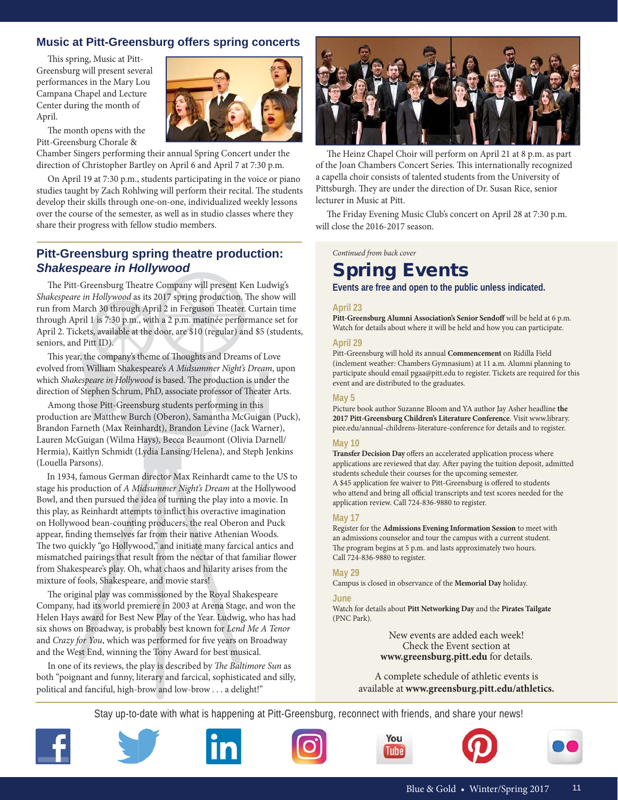#### **Music at Pitt-Greensburg offers spring concerts**

This spring, Music at Pitt-Greensburg will present several performances in the Mary Lou Campana Chapel and Lecture Center during the month of April.

The month opens with the Pitt-Greensburg Chorale &

Chamber Singers performing their annual Spring Concert under the direction of Christopher Bartley on April 6 and April 7 at 7:30 p.m.

 On April 19 at 7:30 p.m., students participating in the voice or piano studies taught by Zach Rohlwing will perform their recital. The students develop their skills through one-on-one, individualized weekly lessons over the course of the semester, as well as in studio classes where they share their progress with fellow studio members.

#### **Pitt-Greensburg spring theatre production:**  *Shakespeare in Hollywood*

The Pitt-Greensburg Theatre Company will present Ken Ludwig's *Shakespeare in Hollywood* as its 2017 spring production. The show will run from March 30 through April 2 in Ferguson Theater. Curtain time through April 1 is 7:30 p.m., with a 2 p.m. matinée performance set for April 2. Tickets, available at the door, are \$10 (regular) and \$5 (students, seniors, and Pitt ID).

This year, the company's theme of Thoughts and Dreams of Love evolved from William Shakespeare's *A Midsummer Night's Dream*, upon which *Shakespeare in Hollywood* is based. The production is under the direction of Stephen Schrum, PhD, associate professor of Theater Arts.

 Among those Pitt-Greensburg students performing in this production are Matthew Burch (Oberon), Samantha McGuigan (Puck), Brandon Farneth (Max Reinhardt), Brandon Levine (Jack Warner), Lauren McGuigan (Wilma Hays), Becca Beaumont (Olivia Darnell/ Hermia), Kaitlyn Schmidt (Lydia Lansing/Helena), and Steph Jenkins (Louella Parsons).

 In 1934, famous German director Max Reinhardt came to the US to stage his production of *A Midsummer Night's Dream* at the Hollywood Bowl, and then pursued the idea of turning the play into a movie. In this play, as Reinhardt attempts to inflict his overactive imagination on Hollywood bean-counting producers, the real Oberon and Puck appear, finding themselves far from their native Athenian Woods. The two quickly "go Hollywood," and initiate many farcical antics and mismatched pairings that result from the nectar of that familiar flower from Shakespeare's play. Oh, what chaos and hilarity arises from the mixture of fools, Shakespeare, and movie stars!

The original play was commissioned by the Royal Shakespeare Company, had its world premiere in 2003 at Arena Stage, and won the Helen Hays award for Best New Play of the Year. Ludwig, who has had six shows on Broadway, is probably best known for *Lend Me A Tenor* and *Crazy for You*, which was performed for five years on Broadway and the West End, winning the Tony Award for best musical.

In one of its reviews, the play is described by *The Baltimore Sun* as both "poignant and funny, literary and farcical, sophisticated and silly, political and fanciful, high-brow and low-brow . . . a delight!"



The Heinz Chapel Choir will perform on April 21 at 8 p.m. as part of the Joan Chambers Concert Series. This internationally recognized a capella choir consists of talented students from the University of Pittsburgh. They are under the direction of Dr. Susan Rice, senior lecturer in Music at Pitt.

The Friday Evening Music Club's concert on April 28 at 7:30 p.m. will close the 2016-2017 season.

*Continued from back cover*

# Spring Events

**Events are free and open to the public unless indicated.**

#### **April 23**

**Pitt-Greensburg Alumni Association's Senior Sendoff** will be held at 6 p.m. Watch for details about where it will be held and how you can participate.

#### **April 29**

Pitt-Greensburg will hold its annual **Commencement** on Ridilla Field (inclement weather: Chambers Gymnasium) at 11 a.m. Alumni planning to participate should email pgaa@pitt.edu to register. Tickets are required for this event and are distributed to the graduates.

#### **May 5**

Picture book author Suzanne Bloom and YA author Jay Asher headline **the 2017 Pitt-Greensburg Children's Literature Conference**. Visit www.library. piee.edu/annual-childrens-literature-conference for details and to register.

#### **May 10**

**Transfer Decision Day** offers an accelerated application process where applications are reviewed that day. After paying the tuition deposit, admitted students schedule their courses for the upcoming semester. A \$45 application fee waiver to Pitt-Greensburg is offered to students who attend and bring all official transcripts and test scores needed for the application review. Call 724-836-9880 to register.

#### **May 17**

Register for the **Admissions Evening Information Session** to meet with an admissions counselor and tour the campus with a current student. The program begins at 5 p.m. and lasts approximately two hours. Call 724-836-9880 to register.

#### **May 29**

Campus is closed in observance of the **Memorial Day** holiday.

#### **June**

Watch for details about **Pitt Networking Day** and the **Pirates Tailgate** (PNC Park).

> New events are added each week! Check the Event section at **www.greensburg.pitt.edu** for details.

A complete schedule of athletic events is available at **www.greensburg.pitt.edu/athletics.**

Stay up-to-date with what is happening at Pitt-Greensburg, reconnect with friends, and share your news!